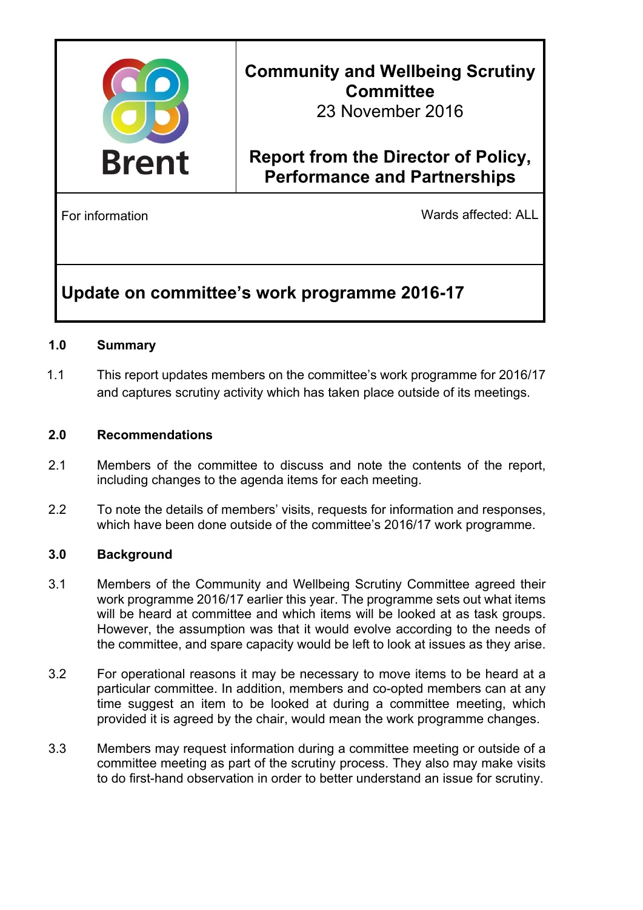

# **Community and Wellbeing Scrutiny Committee**

23 November 2016

# **Report from the Director of Policy, Performance and Partnerships**

For information **Example 2018** Wards affected: ALL

## **Update on committee's work programme 2016-17**

#### **1.0 Summary**

1.1 This report updates members on the committee's work programme for 2016/17 and captures scrutiny activity which has taken place outside of its meetings.

#### **2.0 Recommendations**

- 2.1 Members of the committee to discuss and note the contents of the report, including changes to the agenda items for each meeting.
- 2.2 To note the details of members' visits, requests for information and responses, which have been done outside of the committee's 2016/17 work programme.

### **3.0 Background**

- 3.1 Members of the Community and Wellbeing Scrutiny Committee agreed their work programme 2016/17 earlier this year. The programme sets out what items will be heard at committee and which items will be looked at as task groups. However, the assumption was that it would evolve according to the needs of the committee, and spare capacity would be left to look at issues as they arise.
- 3.2 For operational reasons it may be necessary to move items to be heard at a particular committee. In addition, members and co-opted members can at any time suggest an item to be looked at during a committee meeting, which provided it is agreed by the chair, would mean the work programme changes.
- 3.3 Members may request information during a committee meeting or outside of a committee meeting as part of the scrutiny process. They also may make visits to do first-hand observation in order to better understand an issue for scrutiny.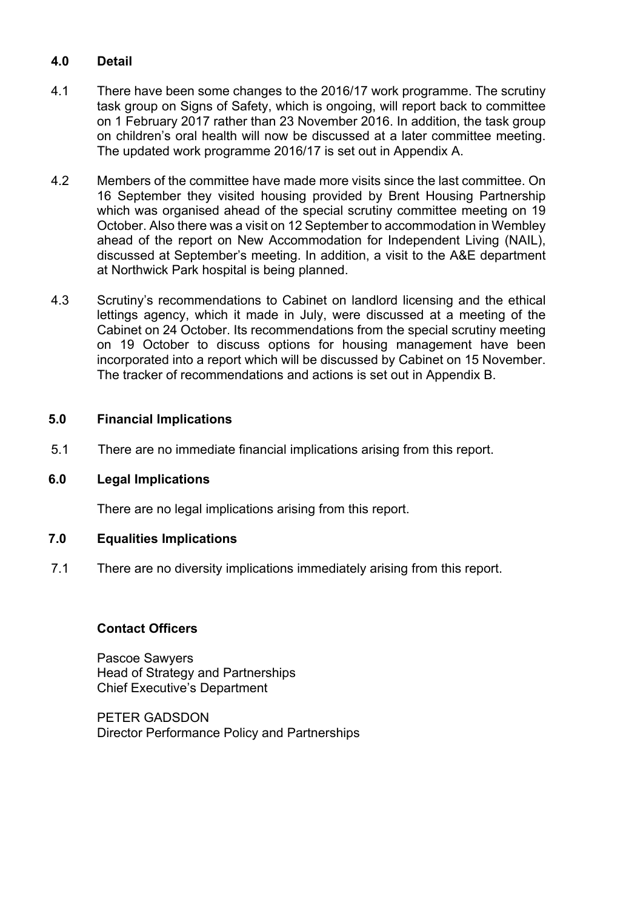## **4.0 Detail**

- 4.1 There have been some changes to the 2016/17 work programme. The scrutiny task group on Signs of Safety, which is ongoing, will report back to committee on 1 February 2017 rather than 23 November 2016. In addition, the task group on children's oral health will now be discussed at a later committee meeting. The updated work programme 2016/17 is set out in Appendix A.
- 4.2 Members of the committee have made more visits since the last committee. On 16 September they visited housing provided by Brent Housing Partnership which was organised ahead of the special scrutiny committee meeting on 19 October. Also there was a visit on 12 September to accommodation in Wembley ahead of the report on New Accommodation for Independent Living (NAIL), discussed at September's meeting. In addition, a visit to the A&E department at Northwick Park hospital is being planned.
- 4.3 Scrutiny's recommendations to Cabinet on landlord licensing and the ethical lettings agency, which it made in July, were discussed at a meeting of the Cabinet on 24 October. Its recommendations from the special scrutiny meeting on 19 October to discuss options for housing management have been incorporated into a report which will be discussed by Cabinet on 15 November. The tracker of recommendations and actions is set out in Appendix B.

#### **5.0 Financial Implications**

5.1 There are no immediate financial implications arising from this report.

#### **6.0 Legal Implications**

There are no legal implications arising from this report.

#### **7.0 Equalities Implications**

7.1 There are no diversity implications immediately arising from this report.

#### **Contact Officers**

Pascoe Sawyers Head of Strategy and Partnerships Chief Executive's Department

PETER GADSDON Director Performance Policy and Partnerships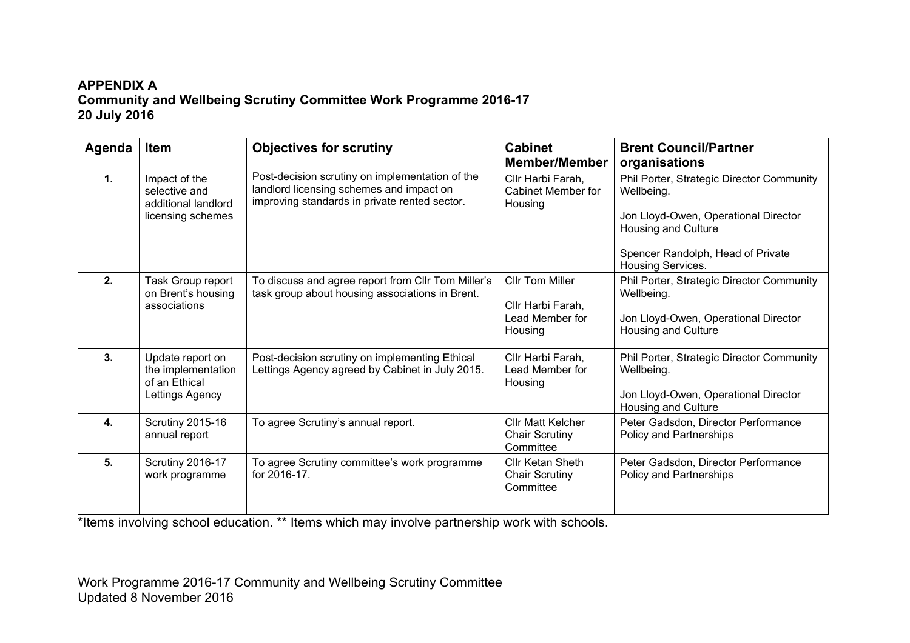## **APPENDIX A Community and Wellbeing Scrutiny Committee Work Programme 2016-17 20 July 2016**

| Agenda         | <b>Item</b>                                                                | <b>Objectives for scrutiny</b>                                                                                                               | <b>Cabinet</b><br><b>Member/Member</b>                                    | <b>Brent Council/Partner</b><br>organisations                                                                                                                                    |
|----------------|----------------------------------------------------------------------------|----------------------------------------------------------------------------------------------------------------------------------------------|---------------------------------------------------------------------------|----------------------------------------------------------------------------------------------------------------------------------------------------------------------------------|
| 1.             | Impact of the<br>selective and<br>additional landlord<br>licensing schemes | Post-decision scrutiny on implementation of the<br>landlord licensing schemes and impact on<br>improving standards in private rented sector. | Cllr Harbi Farah,<br>Cabinet Member for<br>Housing                        | Phil Porter, Strategic Director Community<br>Wellbeing.<br>Jon Lloyd-Owen, Operational Director<br>Housing and Culture<br>Spencer Randolph, Head of Private<br>Housing Services. |
| 2.             | Task Group report<br>on Brent's housing<br>associations                    | To discuss and agree report from CIIr Tom Miller's<br>task group about housing associations in Brent.                                        | <b>Cllr Tom Miller</b><br>Cllr Harbi Farah,<br>Lead Member for<br>Housing | Phil Porter, Strategic Director Community<br>Wellbeing.<br>Jon Lloyd-Owen, Operational Director<br>Housing and Culture                                                           |
| 3 <sub>1</sub> | Update report on<br>the implementation<br>of an Ethical<br>Lettings Agency | Post-decision scrutiny on implementing Ethical<br>Lettings Agency agreed by Cabinet in July 2015.                                            | Cllr Harbi Farah,<br>Lead Member for<br>Housing                           | Phil Porter, Strategic Director Community<br>Wellbeing.<br>Jon Lloyd-Owen, Operational Director<br>Housing and Culture                                                           |
| 4.             | <b>Scrutiny 2015-16</b><br>annual report                                   | To agree Scrutiny's annual report.                                                                                                           | <b>Cllr Matt Kelcher</b><br><b>Chair Scrutiny</b><br>Committee            | Peter Gadsdon, Director Performance<br>Policy and Partnerships                                                                                                                   |
| 5.             | Scrutiny 2016-17<br>work programme                                         | To agree Scrutiny committee's work programme<br>for 2016-17.                                                                                 | <b>Cllr Ketan Sheth</b><br><b>Chair Scrutiny</b><br>Committee             | Peter Gadsdon, Director Performance<br>Policy and Partnerships                                                                                                                   |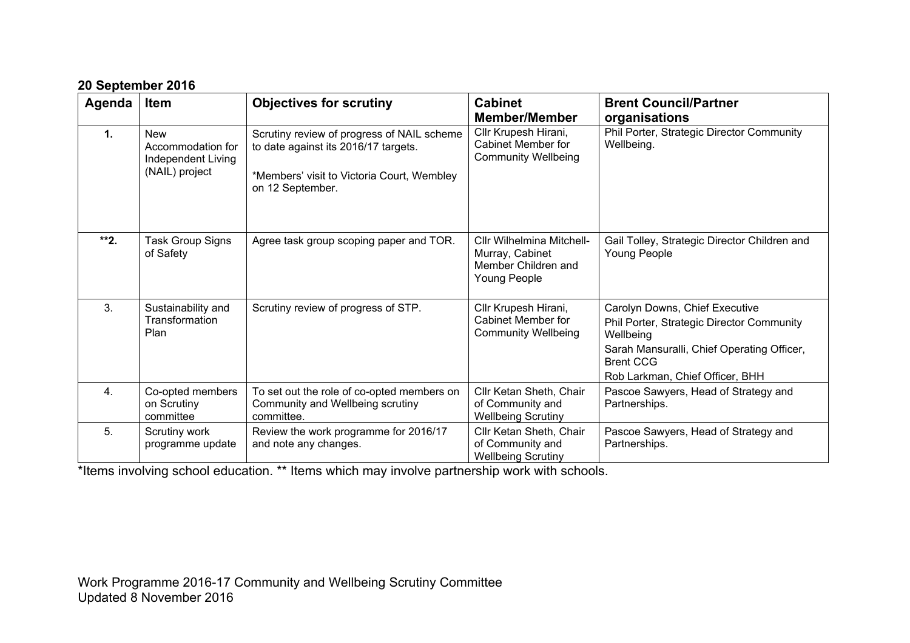| Agenda           | <b>Item</b>                                                             | <b>Objectives for scrutiny</b>                                                                                                                       | <b>Cabinet</b><br><b>Member/Member</b>                                              | <b>Brent Council/Partner</b><br>organisations                                                                                                                                                 |
|------------------|-------------------------------------------------------------------------|------------------------------------------------------------------------------------------------------------------------------------------------------|-------------------------------------------------------------------------------------|-----------------------------------------------------------------------------------------------------------------------------------------------------------------------------------------------|
| $\mathbf 1$ .    | <b>New</b><br>Accommodation for<br>Independent Living<br>(NAIL) project | Scrutiny review of progress of NAIL scheme<br>to date against its 2016/17 targets.<br>*Members' visit to Victoria Court, Wembley<br>on 12 September. | Cllr Krupesh Hirani,<br>Cabinet Member for<br><b>Community Wellbeing</b>            | Phil Porter, Strategic Director Community<br>Wellbeing.                                                                                                                                       |
| $**2.$           | <b>Task Group Signs</b><br>of Safety                                    | Agree task group scoping paper and TOR.                                                                                                              | Cllr Wilhelmina Mitchell-<br>Murray, Cabinet<br>Member Children and<br>Young People | Gail Tolley, Strategic Director Children and<br>Young People                                                                                                                                  |
| 3.               | Sustainability and<br>Transformation<br>Plan                            | Scrutiny review of progress of STP.                                                                                                                  | Cllr Krupesh Hirani,<br><b>Cabinet Member for</b><br><b>Community Wellbeing</b>     | Carolyn Downs, Chief Executive<br>Phil Porter, Strategic Director Community<br>Wellbeing<br>Sarah Mansuralli, Chief Operating Officer,<br><b>Brent CCG</b><br>Rob Larkman, Chief Officer, BHH |
| $\overline{4}$ . | Co-opted members<br>on Scrutiny<br>committee                            | To set out the role of co-opted members on<br>Community and Wellbeing scrutiny<br>committee.                                                         | Cllr Ketan Sheth, Chair<br>of Community and<br><b>Wellbeing Scrutiny</b>            | Pascoe Sawyers, Head of Strategy and<br>Partnerships.                                                                                                                                         |
| 5.               | Scrutiny work<br>programme update                                       | Review the work programme for 2016/17<br>and note any changes.                                                                                       | Cllr Ketan Sheth, Chair<br>of Community and                                         | Pascoe Sawyers, Head of Strategy and<br>Partnerships.                                                                                                                                         |

Wellbeing Scrutiny

#### **20 September 2016**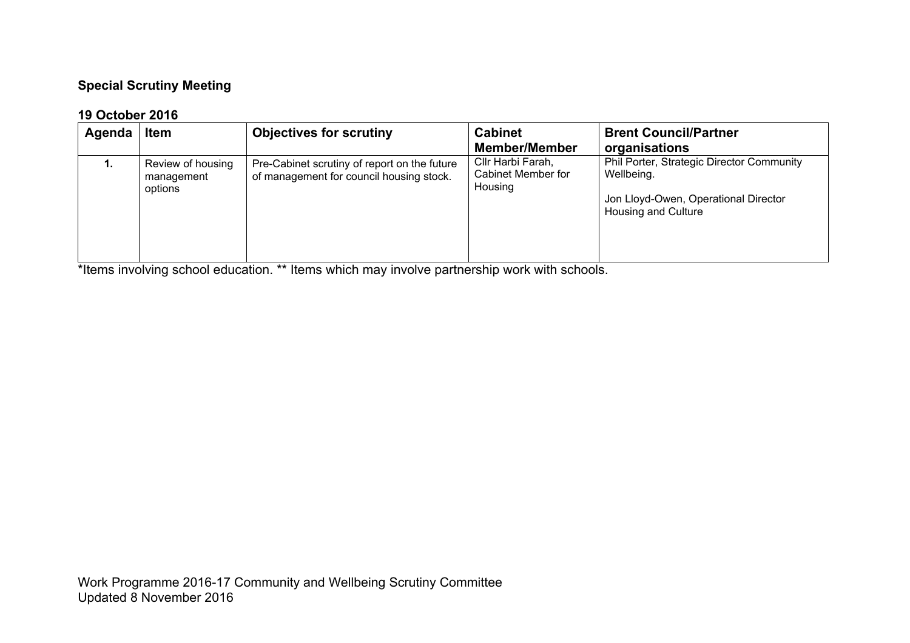## **Special Scrutiny Meeting**

## **19 October 2016**

| Agenda | <b>Item</b>                                | <b>Objectives for scrutiny</b>                                                           | <b>Cabinet</b><br><b>Member/Member</b>             | <b>Brent Council/Partner</b><br>organisations                                                                          |
|--------|--------------------------------------------|------------------------------------------------------------------------------------------|----------------------------------------------------|------------------------------------------------------------------------------------------------------------------------|
| 1.     | Review of housing<br>management<br>options | Pre-Cabinet scrutiny of report on the future<br>of management for council housing stock. | Cllr Harbi Farah,<br>Cabinet Member for<br>Housing | Phil Porter, Strategic Director Community<br>Wellbeing.<br>Jon Lloyd-Owen, Operational Director<br>Housing and Culture |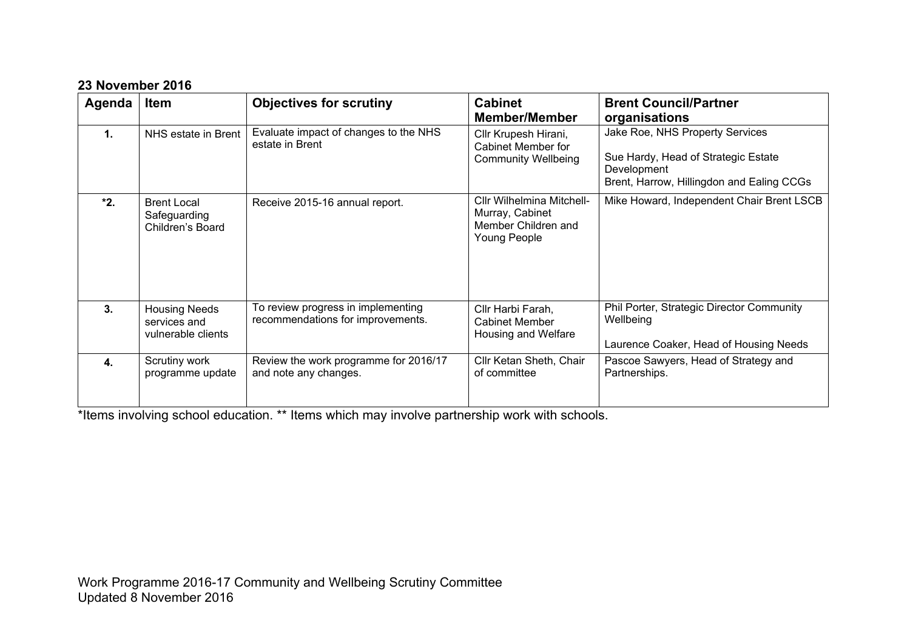### **23 November 2016**

| Agenda         | <b>Item</b>                                                | <b>Objectives for scrutiny</b>                                          | <b>Cabinet</b><br><b>Member/Member</b>                                              | <b>Brent Council/Partner</b><br>organisations                                                                                      |
|----------------|------------------------------------------------------------|-------------------------------------------------------------------------|-------------------------------------------------------------------------------------|------------------------------------------------------------------------------------------------------------------------------------|
| $\mathbf{1}$ . | NHS estate in Brent                                        | Evaluate impact of changes to the NHS<br>estate in Brent                | Cllr Krupesh Hirani,<br>Cabinet Member for<br><b>Community Wellbeing</b>            | Jake Roe, NHS Property Services<br>Sue Hardy, Head of Strategic Estate<br>Development<br>Brent, Harrow, Hillingdon and Ealing CCGs |
| $*2.$          | <b>Brent Local</b><br>Safeguarding<br>Children's Board     | Receive 2015-16 annual report.                                          | Cllr Wilhelmina Mitchell-<br>Murray, Cabinet<br>Member Children and<br>Young People | Mike Howard, Independent Chair Brent LSCB                                                                                          |
| 3.             | <b>Housing Needs</b><br>services and<br>vulnerable clients | To review progress in implementing<br>recommendations for improvements. | Cllr Harbi Farah,<br><b>Cabinet Member</b><br>Housing and Welfare                   | Phil Porter, Strategic Director Community<br>Wellbeing<br>Laurence Coaker, Head of Housing Needs                                   |
| 4.             | Scrutiny work<br>programme update                          | Review the work programme for 2016/17<br>and note any changes.          | Cllr Ketan Sheth, Chair<br>of committee                                             | Pascoe Sawyers, Head of Strategy and<br>Partnerships.                                                                              |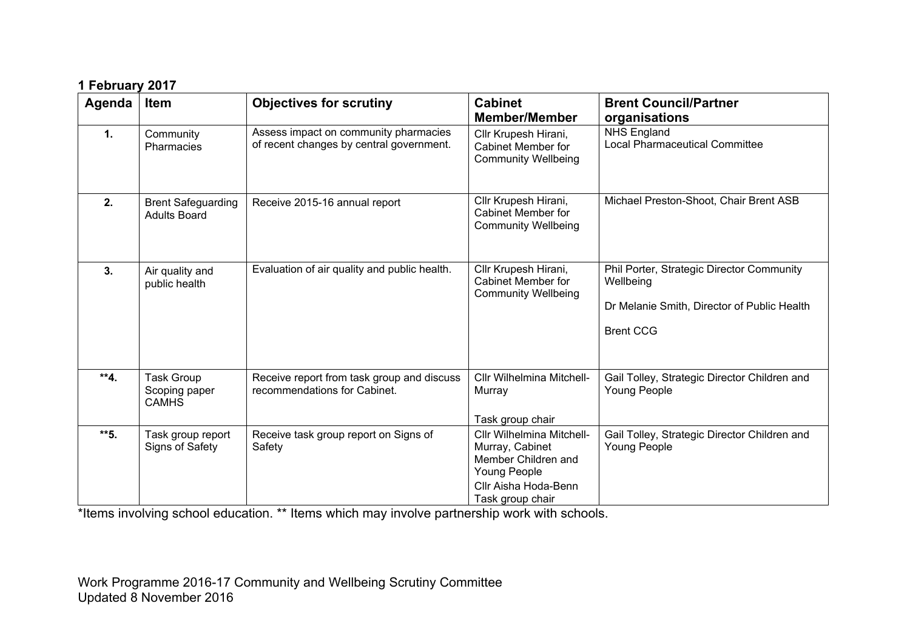| 1 February 2017 |  |
|-----------------|--|
|                 |  |

| Agenda | Item                                               | <b>Objectives for scrutiny</b>                                                    | <b>Cabinet</b><br><b>Member/Member</b>                                                                                          | <b>Brent Council/Partner</b><br>organisations                                                                             |
|--------|----------------------------------------------------|-----------------------------------------------------------------------------------|---------------------------------------------------------------------------------------------------------------------------------|---------------------------------------------------------------------------------------------------------------------------|
| 1.     | Community<br>Pharmacies                            | Assess impact on community pharmacies<br>of recent changes by central government. | Cllr Krupesh Hirani,<br><b>Cabinet Member for</b><br><b>Community Wellbeing</b>                                                 | <b>NHS England</b><br><b>Local Pharmaceutical Committee</b>                                                               |
| 2.     | <b>Brent Safeguarding</b><br><b>Adults Board</b>   | Receive 2015-16 annual report                                                     | Cllr Krupesh Hirani,<br>Cabinet Member for<br><b>Community Wellbeing</b>                                                        | Michael Preston-Shoot, Chair Brent ASB                                                                                    |
| 3.     | Air quality and<br>public health                   | Evaluation of air quality and public health.                                      | Cllr Krupesh Hirani,<br>Cabinet Member for<br><b>Community Wellbeing</b>                                                        | Phil Porter, Strategic Director Community<br>Wellbeing<br>Dr Melanie Smith, Director of Public Health<br><b>Brent CCG</b> |
| $**4.$ | <b>Task Group</b><br>Scoping paper<br><b>CAMHS</b> | Receive report from task group and discuss<br>recommendations for Cabinet.        | Cllr Wilhelmina Mitchell-<br>Murray<br>Task group chair                                                                         | Gail Tolley, Strategic Director Children and<br>Young People                                                              |
| **5.   | Task group report<br>Signs of Safety               | Receive task group report on Signs of<br>Safety                                   | Cllr Wilhelmina Mitchell-<br>Murray, Cabinet<br>Member Children and<br>Young People<br>Cllr Aisha Hoda-Benn<br>Task group chair | Gail Tolley, Strategic Director Children and<br>Young People                                                              |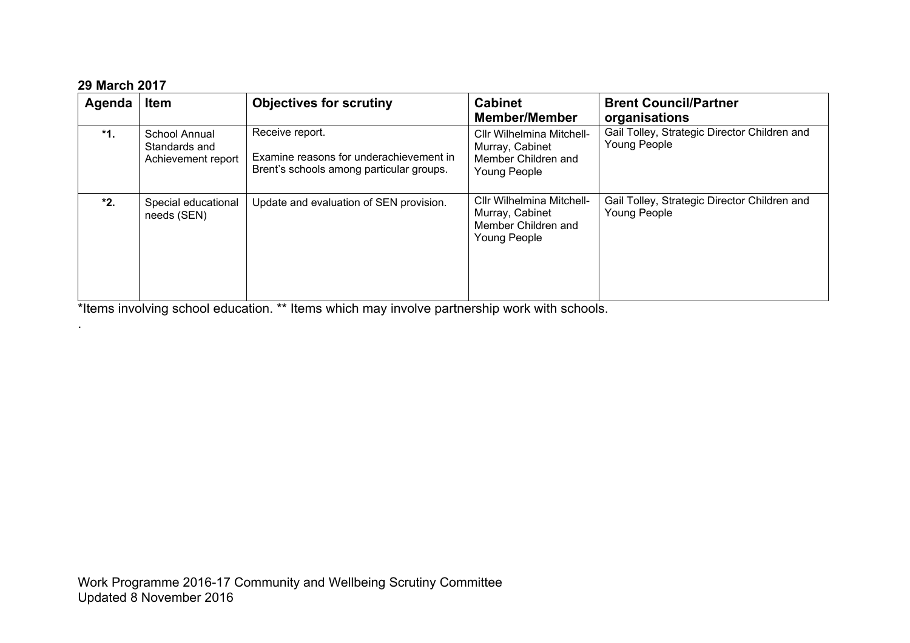### **29 March 2017**

.

| Agenda | <b>Item</b>                                          | <b>Objectives for scrutiny</b>                                                                         | <b>Cabinet</b><br><b>Member/Member</b>                                                     | <b>Brent Council/Partner</b><br>organisations                |
|--------|------------------------------------------------------|--------------------------------------------------------------------------------------------------------|--------------------------------------------------------------------------------------------|--------------------------------------------------------------|
| *1.    | School Annual<br>Standards and<br>Achievement report | Receive report.<br>Examine reasons for underachievement in<br>Brent's schools among particular groups. | Cllr Wilhelmina Mitchell-<br>Murray, Cabinet<br>Member Children and<br>Young People        | Gail Tolley, Strategic Director Children and<br>Young People |
| *2.    | Special educational<br>needs (SEN)                   | Update and evaluation of SEN provision.                                                                | Cllr Wilhelmina Mitchell-<br>Murray, Cabinet<br>Member Children and<br><b>Young People</b> | Gail Tolley, Strategic Director Children and<br>Young People |